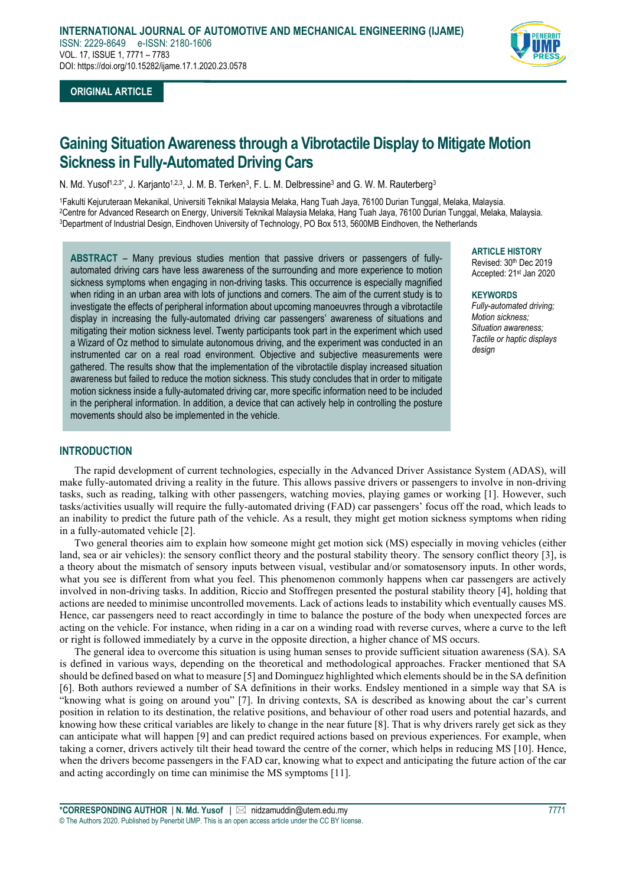

# **ORIGINAL ARTICLE**

# **Gaining Situation Awareness through a Vibrotactile Display to Mitigate Motion Sickness in Fully-Automated Driving Cars**

N. Md. Yusof1,2,3\*, J. Karjanto1,2,3, J. M. B. Terken3, F. L. M. Delbressine3 and G. W. M. Rauterberg3

1Fakulti Kejuruteraan Mekanikal, Universiti Teknikal Malaysia Melaka, Hang Tuah Jaya, 76100 Durian Tunggal, Melaka, Malaysia. 2Centre for Advanced Research on Energy, Universiti Teknikal Malaysia Melaka, Hang Tuah Jaya, 76100 Durian Tunggal, Melaka, Malaysia. 3Department of Industrial Design, Eindhoven University of Technology, PO Box 513, 5600MB Eindhoven, the Netherlands

**ABSTRACT** – Many previous studies mention that passive drivers or passengers of fullyautomated driving cars have less awareness of the surrounding and more experience to motion sickness symptoms when engaging in non-driving tasks. This occurrence is especially magnified when riding in an urban area with lots of junctions and corners. The aim of the current study is to investigate the effects of peripheral information about upcoming manoeuvres through a vibrotactile display in increasing the fully-automated driving car passengers' awareness of situations and mitigating their motion sickness level. Twenty participants took part in the experiment which used a Wizard of Oz method to simulate autonomous driving, and the experiment was conducted in an instrumented car on a real road environment. Objective and subjective measurements were gathered. The results show that the implementation of the vibrotactile display increased situation awareness but failed to reduce the motion sickness. This study concludes that in order to mitigate motion sickness inside a fully-automated driving car, more specific information need to be included in the peripheral information. In addition, a device that can actively help in controlling the posture movements should also be implemented in the vehicle.

# **ARTICLE HISTORY**

Revised: 30th Dec 2019 Accepted: 21st Jan 2020

#### **KEYWORDS**

*Fully-automated driving; Motion sickness; Situation awareness; Tactile or haptic displays design*

# **INTRODUCTION**

The rapid development of current technologies, especially in the Advanced Driver Assistance System (ADAS), will make fully-automated driving a reality in the future. This allows passive drivers or passengers to involve in non-driving tasks, such as reading, talking with other passengers, watching movies, playing games or working [1]. However, such tasks/activities usually will require the fully-automated driving (FAD) car passengers' focus off the road, which leads to an inability to predict the future path of the vehicle. As a result, they might get motion sickness symptoms when riding in a fully-automated vehicle [2].

Two general theories aim to explain how someone might get motion sick (MS) especially in moving vehicles (either land, sea or air vehicles): the sensory conflict theory and the postural stability theory. The sensory conflict theory [3], is a theory about the mismatch of sensory inputs between visual, vestibular and/or somatosensory inputs. In other words, what you see is different from what you feel. This phenomenon commonly happens when car passengers are actively involved in non-driving tasks. In addition, Riccio and Stoffregen presented the postural stability theory [4], holding that actions are needed to minimise uncontrolled movements. Lack of actions leads to instability which eventually causes MS. Hence, car passengers need to react accordingly in time to balance the posture of the body when unexpected forces are acting on the vehicle. For instance, when riding in a car on a winding road with reverse curves, where a curve to the left or right is followed immediately by a curve in the opposite direction, a higher chance of MS occurs.

The general idea to overcome this situation is using human senses to provide sufficient situation awareness (SA). SA is defined in various ways, depending on the theoretical and methodological approaches. Fracker mentioned that SA should be defined based on what to measure [5] and Dominguez highlighted which elements should be in the SA definition [6]. Both authors reviewed a number of SA definitions in their works. Endsley mentioned in a simple way that SA is "knowing what is going on around you" [7]. In driving contexts, SA is described as knowing about the car's current position in relation to its destination, the relative positions, and behaviour of other road users and potential hazards, and knowing how these critical variables are likely to change in the near future [8]. That is why drivers rarely get sick as they can anticipate what will happen [9] and can predict required actions based on previous experiences. For example, when taking a corner, drivers actively tilt their head toward the centre of the corner, which helps in reducing MS [10]. Hence, when the drivers become passengers in the FAD car, knowing what to expect and anticipating the future action of the car and acting accordingly on time can minimise the MS symptoms [11].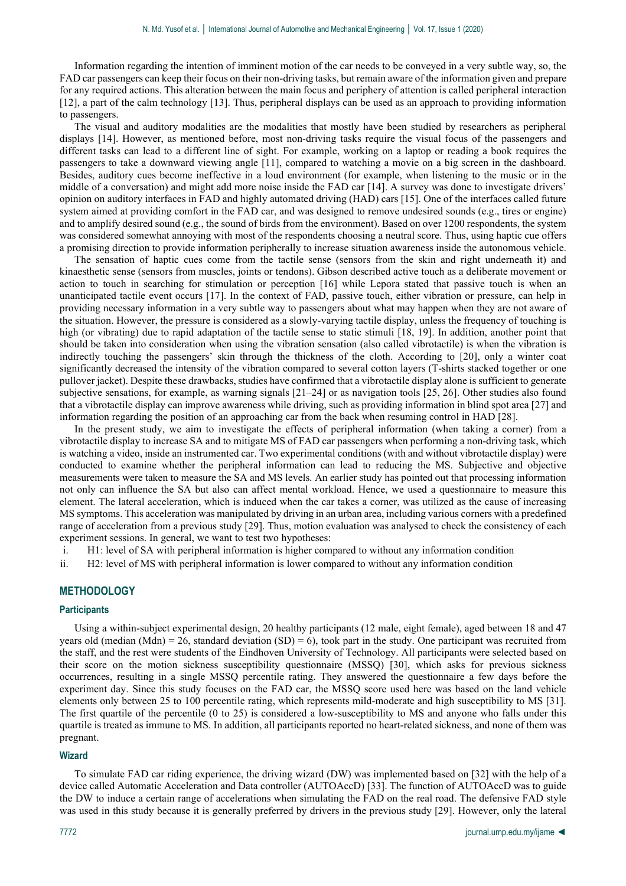Information regarding the intention of imminent motion of the car needs to be conveyed in a very subtle way, so, the FAD car passengers can keep their focus on their non-driving tasks, but remain aware of the information given and prepare for any required actions. This alteration between the main focus and periphery of attention is called peripheral interaction [12], a part of the calm technology [13]. Thus, peripheral displays can be used as an approach to providing information to passengers.

The visual and auditory modalities are the modalities that mostly have been studied by researchers as peripheral displays [14]. However, as mentioned before, most non-driving tasks require the visual focus of the passengers and different tasks can lead to a different line of sight. For example, working on a laptop or reading a book requires the passengers to take a downward viewing angle [11], compared to watching a movie on a big screen in the dashboard. Besides, auditory cues become ineffective in a loud environment (for example, when listening to the music or in the middle of a conversation) and might add more noise inside the FAD car [14]. A survey was done to investigate drivers' opinion on auditory interfaces in FAD and highly automated driving (HAD) cars [15]. One of the interfaces called future system aimed at providing comfort in the FAD car, and was designed to remove undesired sounds (e.g., tires or engine) and to amplify desired sound (e.g., the sound of birds from the environment). Based on over 1200 respondents, the system was considered somewhat annoying with most of the respondents choosing a neutral score. Thus, using haptic cue offers a promising direction to provide information peripherally to increase situation awareness inside the autonomous vehicle.

The sensation of haptic cues come from the tactile sense (sensors from the skin and right underneath it) and kinaesthetic sense (sensors from muscles, joints or tendons). Gibson described active touch as a deliberate movement or action to touch in searching for stimulation or perception [16] while Lepora stated that passive touch is when an unanticipated tactile event occurs [17]. In the context of FAD, passive touch, either vibration or pressure, can help in providing necessary information in a very subtle way to passengers about what may happen when they are not aware of the situation. However, the pressure is considered as a slowly-varying tactile display, unless the frequency of touching is high (or vibrating) due to rapid adaptation of the tactile sense to static stimuli [18, 19]. In addition, another point that should be taken into consideration when using the vibration sensation (also called vibrotactile) is when the vibration is indirectly touching the passengers' skin through the thickness of the cloth. According to [20], only a winter coat significantly decreased the intensity of the vibration compared to several cotton layers (T-shirts stacked together or one pullover jacket). Despite these drawbacks, studies have confirmed that a vibrotactile display alone is sufficient to generate subjective sensations, for example, as warning signals [21–24] or as navigation tools [25, 26]. Other studies also found that a vibrotactile display can improve awareness while driving, such as providing information in blind spot area [27] and information regarding the position of an approaching car from the back when resuming control in HAD [28].

In the present study, we aim to investigate the effects of peripheral information (when taking a corner) from a vibrotactile display to increase SA and to mitigate MS of FAD car passengers when performing a non-driving task, which is watching a video, inside an instrumented car. Two experimental conditions (with and without vibrotactile display) were conducted to examine whether the peripheral information can lead to reducing the MS. Subjective and objective measurements were taken to measure the SA and MS levels. An earlier study has pointed out that processing information not only can influence the SA but also can affect mental workload. Hence, we used a questionnaire to measure this element. The lateral acceleration, which is induced when the car takes a corner, was utilized as the cause of increasing MS symptoms. This acceleration was manipulated by driving in an urban area, including various corners with a predefined range of acceleration from a previous study [29]. Thus, motion evaluation was analysed to check the consistency of each experiment sessions. In general, we want to test two hypotheses:

i. H1: level of SA with peripheral information is higher compared to without any information condition

ii. H2: level of MS with peripheral information is lower compared to without any information condition

# **METHODOLOGY**

#### **Participants**

Using a within-subject experimental design, 20 healthy participants (12 male, eight female), aged between 18 and 47 years old (median  $(Mdn) = 26$ , standard deviation  $(SD) = 6$ ), took part in the study. One participant was recruited from the staff, and the rest were students of the Eindhoven University of Technology. All participants were selected based on their score on the motion sickness susceptibility questionnaire (MSSQ) [30], which asks for previous sickness occurrences, resulting in a single MSSQ percentile rating. They answered the questionnaire a few days before the experiment day. Since this study focuses on the FAD car, the MSSQ score used here was based on the land vehicle elements only between 25 to 100 percentile rating, which represents mild-moderate and high susceptibility to MS [31]. The first quartile of the percentile (0 to 25) is considered a low-susceptibility to MS and anyone who falls under this quartile is treated as immune to MS. In addition, all participants reported no heart-related sickness, and none of them was pregnant.

# **Wizard**

To simulate FAD car riding experience, the driving wizard (DW) was implemented based on [32] with the help of a device called Automatic Acceleration and Data controller (AUTOAccD) [33]. The function of AUTOAccD was to guide the DW to induce a certain range of accelerations when simulating the FAD on the real road. The defensive FAD style was used in this study because it is generally preferred by drivers in the previous study [29]. However, only the lateral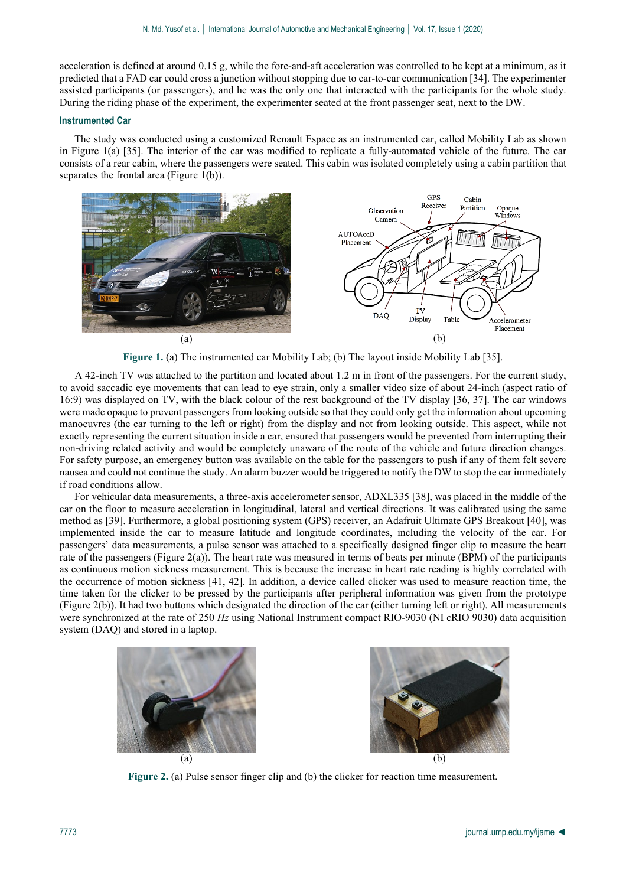acceleration is defined at around 0.15 g, while the fore-and-aft acceleration was controlled to be kept at a minimum, as it predicted that a FAD car could cross a junction without stopping due to car-to-car communication [34]. The experimenter assisted participants (or passengers), and he was the only one that interacted with the participants for the whole study. During the riding phase of the experiment, the experimenter seated at the front passenger seat, next to the DW.

# **Instrumented Car**

The study was conducted using a customized Renault Espace as an instrumented car, called Mobility Lab as shown in [Figure 1\(](#page-2-0)a) [35]. The interior of the car was modified to replicate a fully-automated vehicle of the future. The car consists of a rear cabin, where the passengers were seated. This cabin was isolated completely using a cabin partition that separates the frontal area [\(Figure 1\(](#page-2-0)b)).



**Figure 1.** (a) The instrumented car Mobility Lab; (b) The layout inside Mobility Lab [35].

<span id="page-2-0"></span>A 42-inch TV was attached to the partition and located about 1.2 m in front of the passengers. For the current study, to avoid saccadic eye movements that can lead to eye strain, only a smaller video size of about 24-inch (aspect ratio of 16:9) was displayed on TV, with the black colour of the rest background of the TV display [36, 37]. The car windows were made opaque to prevent passengers from looking outside so that they could only get the information about upcoming manoeuvres (the car turning to the left or right) from the display and not from looking outside. This aspect, while not exactly representing the current situation inside a car, ensured that passengers would be prevented from interrupting their non-driving related activity and would be completely unaware of the route of the vehicle and future direction changes. For safety purpose, an emergency button was available on the table for the passengers to push if any of them felt severe nausea and could not continue the study. An alarm buzzer would be triggered to notify the DW to stop the car immediately if road conditions allow.

For vehicular data measurements, a three-axis accelerometer sensor, ADXL335 [38], was placed in the middle of the car on the floor to measure acceleration in longitudinal, lateral and vertical directions. It was calibrated using the same method as [39]. Furthermore, a global positioning system (GPS) receiver, an Adafruit Ultimate GPS Breakout [40], was implemented inside the car to measure latitude and longitude coordinates, including the velocity of the car. For passengers' data measurements, a pulse sensor was attached to a specifically designed finger clip to measure the heart rate of the passengers (Figure 2(a)). The heart rate was measured in terms of beats per minute (BPM) of the participants as continuous motion sickness measurement. This is because the increase in heart rate reading is highly correlated with the occurrence of motion sickness [41, 42]. In addition, a device called clicker was used to measure reaction time, the time taken for the clicker to be pressed by the participants after peripheral information was given from the prototype (Figure 2(b)). It had two buttons which designated the direction of the car (either turning left or right). All measurements were synchronized at the rate of 250 *Hz* using National Instrument compact RIO-9030 (NI cRIO 9030) data acquisition system (DAQ) and stored in a laptop.



**Figure 2.** (a) Pulse sensor finger clip and (b) the clicker for reaction time measurement.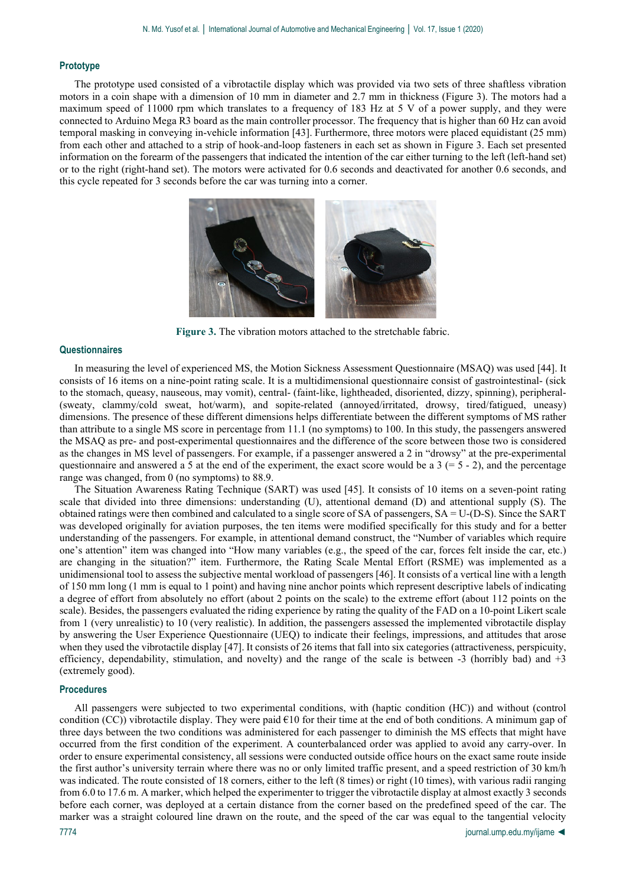# **Prototype**

The prototype used consisted of a vibrotactile display which was provided via two sets of three shaftless vibration motors in a coin shape with a dimension of 10 mm in diameter and 2.7 mm in thickness [\(Figure 3\)](#page-3-0). The motors had a maximum speed of 11000 rpm which translates to a frequency of 183 Hz at 5 V of a power supply, and they were connected to Arduino Mega R3 board as the main controller processor. The frequency that is higher than 60 Hz can avoid temporal masking in conveying in-vehicle information [43]. Furthermore, three motors were placed equidistant (25 mm) from each other and attached to a strip of hook-and-loop fasteners in each set as shown in Figure 3. Each set presented information on the forearm of the passengers that indicated the intention of the car either turning to the left (left-hand set) or to the right (right-hand set). The motors were activated for 0.6 seconds and deactivated for another 0.6 seconds, and this cycle repeated for 3 seconds before the car was turning into a corner.



**Figure 3.** The vibration motors attached to the stretchable fabric.

#### <span id="page-3-0"></span>**Questionnaires**

In measuring the level of experienced MS, the Motion Sickness Assessment Questionnaire (MSAQ) was used [44]. It consists of 16 items on a nine-point rating scale. It is a multidimensional questionnaire consist of gastrointestinal- (sick to the stomach, queasy, nauseous, may vomit), central- (faint-like, lightheaded, disoriented, dizzy, spinning), peripheral- (sweaty, clammy/cold sweat, hot/warm), and sopite-related (annoyed/irritated, drowsy, tired/fatigued, uneasy) dimensions. The presence of these different dimensions helps differentiate between the different symptoms of MS rather than attribute to a single MS score in percentage from 11.1 (no symptoms) to 100. In this study, the passengers answered the MSAQ as pre- and post-experimental questionnaires and the difference of the score between those two is considered as the changes in MS level of passengers. For example, if a passenger answered a 2 in "drowsy" at the pre-experimental questionnaire and answered a 5 at the end of the experiment, the exact score would be a  $3 (= 5 - 2)$ , and the percentage range was changed, from 0 (no symptoms) to 88.9.

The Situation Awareness Rating Technique (SART) was used [45]. It consists of 10 items on a seven-point rating scale that divided into three dimensions: understanding (U), attentional demand (D) and attentional supply (S). The obtained ratings were then combined and calculated to a single score of SA of passengers, SA = U-(D-S). Since the SART was developed originally for aviation purposes, the ten items were modified specifically for this study and for a better understanding of the passengers. For example, in attentional demand construct, the "Number of variables which require one's attention" item was changed into "How many variables (e.g., the speed of the car, forces felt inside the car, etc.) are changing in the situation?" item. Furthermore, the Rating Scale Mental Effort (RSME) was implemented as a unidimensional tool to assess the subjective mental workload of passengers [46]. It consists of a vertical line with a length of 150 mm long (1 mm is equal to 1 point) and having nine anchor points which represent descriptive labels of indicating a degree of effort from absolutely no effort (about 2 points on the scale) to the extreme effort (about 112 points on the scale). Besides, the passengers evaluated the riding experience by rating the quality of the FAD on a 10-point Likert scale from 1 (very unrealistic) to 10 (very realistic). In addition, the passengers assessed the implemented vibrotactile display by answering the User Experience Questionnaire (UEQ) to indicate their feelings, impressions, and attitudes that arose when they used the vibrotactile display [47]. It consists of 26 items that fall into six categories (attractiveness, perspicuity, efficiency, dependability, stimulation, and novelty) and the range of the scale is between -3 (horribly bad) and +3 (extremely good).

## **Procedures**

All passengers were subjected to two experimental conditions, with (haptic condition (HC)) and without (control condition (CC)) vibrotactile display. They were paid  $\epsilon$ 10 for their time at the end of both conditions. A minimum gap of three days between the two conditions was administered for each passenger to diminish the MS effects that might have occurred from the first condition of the experiment. A counterbalanced order was applied to avoid any carry-over. In order to ensure experimental consistency, all sessions were conducted outside office hours on the exact same route inside the first author's university terrain where there was no or only limited traffic present, and a speed restriction of 30 km/h was indicated. The route consisted of 18 corners, either to the left (8 times) or right (10 times), with various radii ranging from 6.0 to 17.6 m. A marker, which helped the experimenter to trigger the vibrotactile display at almost exactly 3 seconds before each corner, was deployed at a certain distance from the corner based on the predefined speed of the car. The marker was a straight coloured line drawn on the route, and the speed of the car was equal to the tangential velocity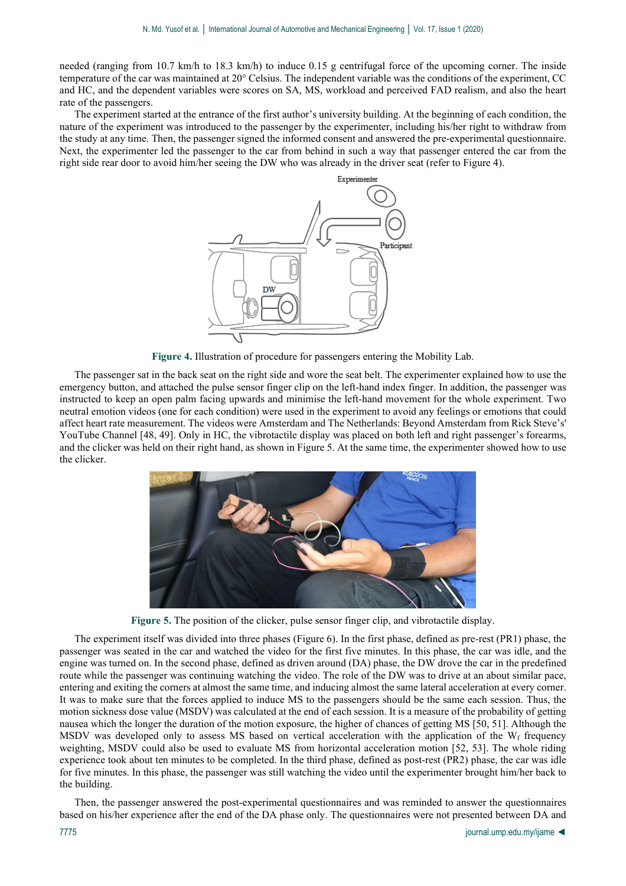needed (ranging from 10.7 km/h to 18.3 km/h) to induce 0.15 g centrifugal force of the upcoming corner. The inside temperature of the car was maintained at 20° Celsius. The independent variable was the conditions of the experiment, CC and HC, and the dependent variables were scores on SA, MS, workload and perceived FAD realism, and also the heart rate of the passengers.

The experiment started at the entrance of the first author's university building. At the beginning of each condition, the nature of the experiment was introduced to the passenger by the experimenter, including his/her right to withdraw from the study at any time. Then, the passenger signed the informed consent and answered the pre-experimental questionnaire. Next, the experimenter led the passenger to the car from behind in such a way that passenger entered the car from the right side rear door to avoid him/her seeing the DW who was already in the driver seat (refer to [Figure 4\)](#page-4-0).



**Figure 4.** Illustration of procedure for passengers entering the Mobility Lab.

<span id="page-4-0"></span>The passenger sat in the back seat on the right side and wore the seat belt. The experimenter explained how to use the emergency button, and attached the pulse sensor finger clip on the left-hand index finger. In addition, the passenger was instructed to keep an open palm facing upwards and minimise the left-hand movement for the whole experiment. Two neutral emotion videos (one for each condition) were used in the experiment to avoid any feelings or emotions that could affect heart rate measurement. The videos were Amsterdam and The Netherlands: Beyond Amsterdam from Rick Steve's' YouTube Channel [48, 49]. Only in HC, the vibrotactile display was placed on both left and right passenger's forearms, and the clicker was held on their right hand, as shown i[n Figure 5.](#page-4-1) At the same time, the experimenter showed how to use the clicker.



**Figure 5.** The position of the clicker, pulse sensor finger clip, and vibrotactile display.

<span id="page-4-1"></span>The experiment itself was divided into three phases [\(Figure 6\)](#page-5-0). In the first phase, defined as pre-rest (PR1) phase, the passenger was seated in the car and watched the video for the first five minutes. In this phase, the car was idle, and the engine was turned on. In the second phase, defined as driven around (DA) phase, the DW drove the car in the predefined route while the passenger was continuing watching the video. The role of the DW was to drive at an about similar pace, entering and exiting the corners at almost the same time, and inducing almost the same lateral acceleration at every corner. It was to make sure that the forces applied to induce MS to the passengers should be the same each session. Thus, the motion sickness dose value (MSDV) was calculated at the end of each session. It is a measure of the probability of getting nausea which the longer the duration of the motion exposure, the higher of chances of getting MS [50, 51]. Although the MSDV was developed only to assess MS based on vertical acceleration with the application of the  $W_f$  frequency weighting, MSDV could also be used to evaluate MS from horizontal acceleration motion [52, 53]. The whole riding experience took about ten minutes to be completed. In the third phase, defined as post-rest (PR2) phase, the car was idle for five minutes. In this phase, the passenger was still watching the video until the experimenter brought him/her back to the building.

Then, the passenger answered the post-experimental questionnaires and was reminded to answer the questionnaires based on his/her experience after the end of the DA phase only. The questionnaires were not presented between DA and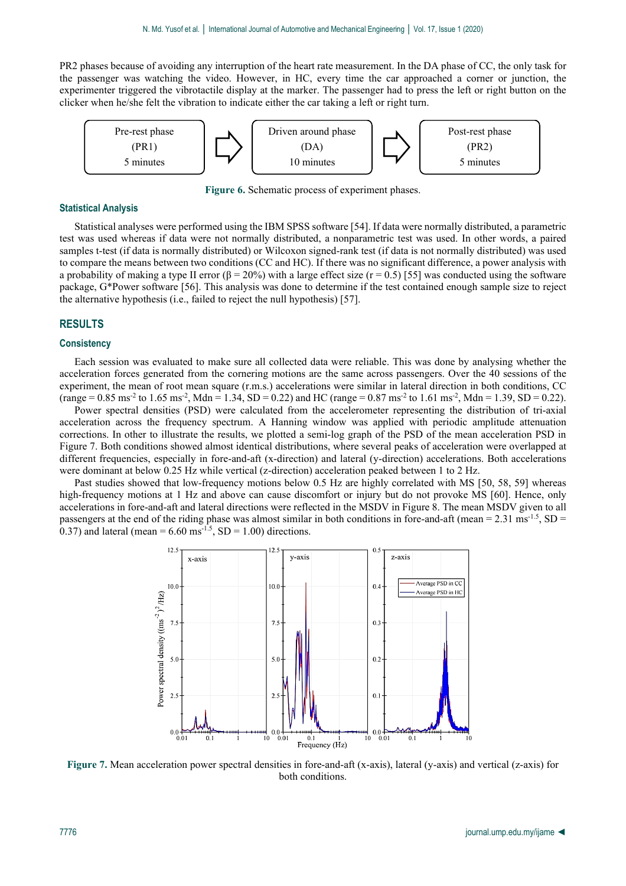PR2 phases because of avoiding any interruption of the heart rate measurement. In the DA phase of CC, the only task for the passenger was watching the video. However, in HC, every time the car approached a corner or junction, the experimenter triggered the vibrotactile display at the marker. The passenger had to press the left or right button on the clicker when he/she felt the vibration to indicate either the car taking a left or right turn.



**Figure 6.** Schematic process of experiment phases.

#### <span id="page-5-0"></span>**Statistical Analysis**

Statistical analyses were performed using the IBM SPSS software [54]. If data were normally distributed, a parametric test was used whereas if data were not normally distributed, a nonparametric test was used. In other words, a paired samples t-test (if data is normally distributed) or Wilcoxon signed-rank test (if data is not normally distributed) was used to compare the means between two conditions (CC and HC). If there was no significant difference, a power analysis with a probability of making a type II error  $(\beta = 20\%)$  with a large effect size  $(r = 0.5)$  [55] was conducted using the software package, G\*Power software [56]. This analysis was done to determine if the test contained enough sample size to reject the alternative hypothesis (i.e., failed to reject the null hypothesis) [57].

# **RESULTS**

#### **Consistency**

Each session was evaluated to make sure all collected data were reliable. This was done by analysing whether the acceleration forces generated from the cornering motions are the same across passengers. Over the 40 sessions of the experiment, the mean of root mean square (r.m.s.) accelerations were similar in lateral direction in both conditions, CC  $(\text{range} = 0.85 \text{ ms}^{-2} \text{ to } 1.65 \text{ ms}^{-2}, \text{Mdn} = 1.34, \text{SD} = 0.22) \text{ and HC (range} = 0.87 \text{ ms}^{-2} \text{ to } 1.61 \text{ ms}^{-2}, \text{Mdn} = 1.39, \text{SD} = 0.22).$ 

Power spectral densities (PSD) were calculated from the accelerometer representing the distribution of tri-axial acceleration across the frequency spectrum. A Hanning window was applied with periodic amplitude attenuation corrections. In other to illustrate the results, we plotted a semi-log graph of the PSD of the mean acceleration PSD in [Figure 7.](#page-5-1) Both conditions showed almost identical distributions, where several peaks of acceleration were overlapped at different frequencies, especially in fore-and-aft (x-direction) and lateral (y-direction) accelerations. Both accelerations were dominant at below 0.25 Hz while vertical (z-direction) acceleration peaked between 1 to 2 Hz.

Past studies showed that low-frequency motions below 0.5 Hz are highly correlated with MS [50, 58, 59] whereas high-frequency motions at 1 Hz and above can cause discomfort or injury but do not provoke MS [60]. Hence, only accelerations in fore-and-aft and lateral directions were reflected in the MSDV in [Figure 8.](#page-6-0) The mean MSDV given to all passengers at the end of the riding phase was almost similar in both conditions in fore-and-aft (mean =  $2.31 \text{ ms}^{-1.5}$ , SD = 0.37) and lateral (mean =  $6.60 \text{ ms}^{-1.5}$ , SD = 1.00) directions.



<span id="page-5-1"></span>**Figure 7.** Mean acceleration power spectral densities in fore-and-aft (x-axis), lateral (y-axis) and vertical (z-axis) for both conditions.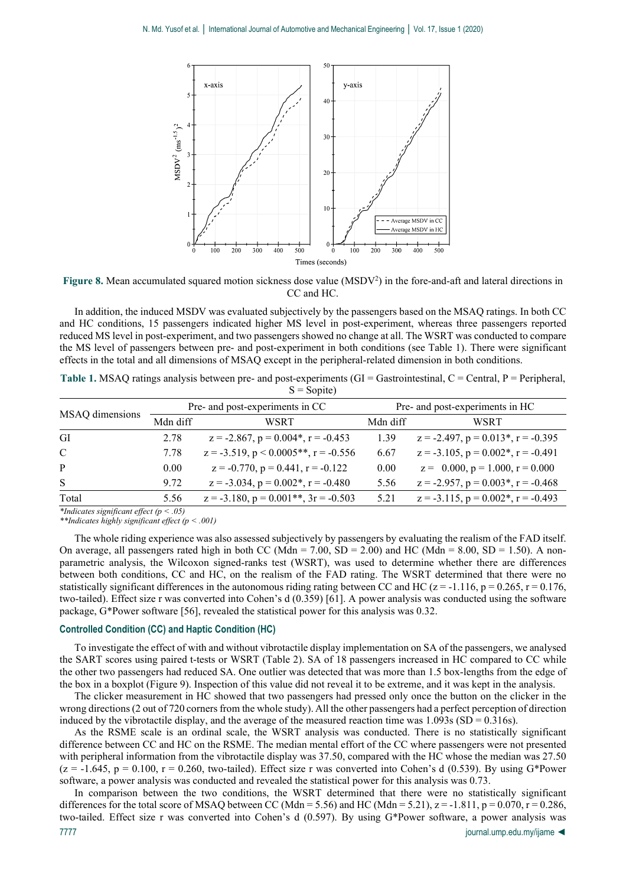

<span id="page-6-0"></span>Figure 8. Mean accumulated squared motion sickness dose value (MSDV<sup>2</sup>) in the fore-and-aft and lateral directions in CC and HC.

In addition, the induced MSDV was evaluated subjectively by the passengers based on the MSAQ ratings. In both CC and HC conditions, 15 passengers indicated higher MS level in post-experiment, whereas three passengers reported reduced MS level in post-experiment, and two passengers showed no change at all. The WSRT was conducted to compare the MS level of passengers between pre- and post-experiment in both conditions (see [Table 1\)](#page-6-1). There were significant effects in the total and all dimensions of MSAQ except in the peripheral-related dimension in both conditions.

| MSAQ dimensions |          | Pre- and post-experiments in CC                        | Pre- and post-experiments in HC |                                                        |  |
|-----------------|----------|--------------------------------------------------------|---------------------------------|--------------------------------------------------------|--|
|                 | Mdn diff | WSRT                                                   | Mdn diff                        | <b>WSRT</b>                                            |  |
| GI              | 2.78     | $z = -2.867$ , $p = 0.004$ <sup>*</sup> , $r = -0.453$ | 1.39                            | $z = -2.497$ , $p = 0.013$ <sup>*</sup> , $r = -0.395$ |  |
| $\mathbf{C}$    | 7.78     | $z = -3.519$ , $p < 0.0005**$ , $r = -0.556$           | 6.67                            | $z = -3.105$ , $p = 0.002$ <sup>*</sup> , $r = -0.491$ |  |
| P               | 0.00     | $z = -0.770$ , $p = 0.441$ , $r = -0.122$              | 0.00                            | $z = 0.000$ , $p = 1.000$ , $r = 0.000$                |  |
| S               | 9.72     | $z = -3.034$ , $p = 0.002$ <sup>*</sup> , $r = -0.480$ | 5.56                            | $z = -2.957$ , $p = 0.003$ <sup>*</sup> , $r = -0.468$ |  |
| Total           | 5.56     | $z = -3.180$ , $p = 0.001**$ , $3r = -0.503$           | 5.21                            | $z = -3.115$ , $p = 0.002$ <sup>*</sup> , $r = -0.493$ |  |
|                 |          |                                                        |                                 |                                                        |  |

<span id="page-6-1"></span>**Table 1.** MSAQ ratings analysis between pre- and post-experiments (GI = Gastrointestinal, C = Central, P = Peripheral,  $S =$ Sopite)

*\*Indicates significant effect (p < .05)*

*\*\*Indicates highly significant effect (p < .001)*

The whole riding experience was also assessed subjectively by passengers by evaluating the realism of the FAD itself. On average, all passengers rated high in both CC (Mdn = 7.00, SD = 2.00) and HC (Mdn = 8.00, SD = 1.50). A nonparametric analysis, the Wilcoxon signed-ranks test (WSRT), was used to determine whether there are differences between both conditions, CC and HC, on the realism of the FAD rating. The WSRT determined that there were no statistically significant differences in the autonomous riding rating between CC and HC ( $z = -1.116$ ,  $p = 0.265$ ,  $r = 0.176$ , two-tailed). Effect size r was converted into Cohen's d (0.359) [61]. A power analysis was conducted using the software package, G\*Power software [56], revealed the statistical power for this analysis was 0.32.

# **Controlled Condition (CC) and Haptic Condition (HC)**

To investigate the effect of with and without vibrotactile display implementation on SA of the passengers, we analysed the SART scores using paired t-tests or WSRT (Table 2). SA of 18 passengers increased in HC compared to CC while the other two passengers had reduced SA. One outlier was detected that was more than 1.5 box-lengths from the edge of the box in a boxplot (Figure 9). Inspection of this value did not reveal it to be extreme, and it was kept in the analysis.

The clicker measurement in HC showed that two passengers had pressed only once the button on the clicker in the wrong directions (2 out of 720 corners from the whole study). All the other passengers had a perfect perception of direction induced by the vibrotactile display, and the average of the measured reaction time was  $1.093s$  (SD = 0.316s).

As the RSME scale is an ordinal scale, the WSRT analysis was conducted. There is no statistically significant difference between CC and HC on the RSME. The median mental effort of the CC where passengers were not presented with peripheral information from the vibrotactile display was 37.50, compared with the HC whose the median was 27.50  $(z = -1.645, p = 0.100, r = 0.260,$  two-tailed). Effect size r was converted into Cohen's d (0.539). By using G\*Power software, a power analysis was conducted and revealed the statistical power for this analysis was 0.73.

7777 journal.ump.edu.my/ijame ◄ In comparison between the two conditions, the WSRT determined that there were no statistically significant differences for the total score of MSAQ between CC (Mdn = 5.56) and HC (Mdn = 5.21),  $z = -1.811$ ,  $p = 0.070$ ,  $r = 0.286$ , two-tailed. Effect size r was converted into Cohen's d (0.597). By using G\*Power software, a power analysis was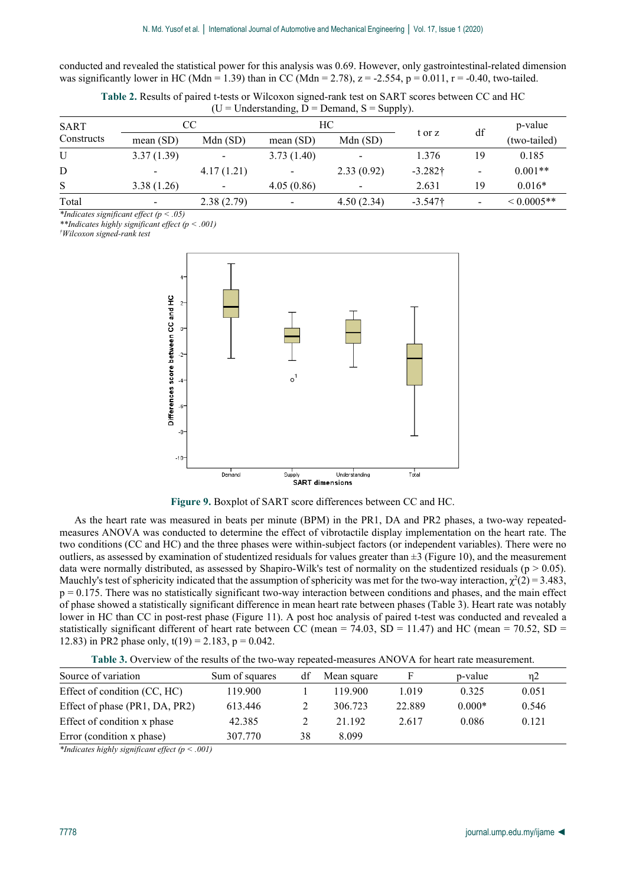conducted and revealed the statistical power for this analysis was 0.69. However, only gastrointestinal-related dimension was significantly lower in HC (Mdn = 1.39) than in CC (Mdn = 2.78),  $z = -2.554$ ,  $p = 0.011$ ,  $r = -0.40$ , two-tailed.

| $0 -$ Understanding, $D - D$ emand, $3 - S$ uppry). |             |                |             |                          |                 |    |              |
|-----------------------------------------------------|-------------|----------------|-------------|--------------------------|-----------------|----|--------------|
| <b>SART</b><br>Constructs                           |             | CС             |             | HС                       |                 | df | p-value      |
|                                                     | mean $(SD)$ | Mdn(SD)        | mean $(SD)$ | Mdn(SD)                  | t or z          |    | (two-tailed) |
| U                                                   | 3.37(1.39)  |                | 3.73(1.40)  | $\overline{\phantom{a}}$ | 1.376           | 19 | 0.185        |
| D                                                   |             | 4.17(1.21)     |             | 2.33(0.92)               | $-3.282\dagger$ | -  | $0.001**$    |
| S                                                   | 3.38(1.26)  | $\blacksquare$ | 4.05(0.86)  | $\overline{\phantom{a}}$ | 2.631           | 19 | $0.016*$     |
| Total                                               | -           | 2.38(2.79)     |             | 4.50(2.34)               | $-3.547\dagger$ |    | $0.0005**$   |

**Table 2.** Results of paired t-tests or Wilcoxon signed-rank test on SART scores between CC and HC  $(U - U_n)$  denoted  $\overline{D} - D_n$  and  $S - S_{\text{unn}}(v)$ .

*\*Indicates significant effect (p < .05)*

*\*\*Indicates highly significant effect (p < .001)*

*† Wilcoxon signed-rank test*



**Figure 9.** Boxplot of SART score differences between CC and HC.

As the heart rate was measured in beats per minute (BPM) in the PR1, DA and PR2 phases, a two-way repeatedmeasures ANOVA was conducted to determine the effect of vibrotactile display implementation on the heart rate. The two conditions (CC and HC) and the three phases were within-subject factors (or independent variables). There were no outliers, as assessed by examination of studentized residuals for values greater than  $\pm 3$  (Figure 10), and the measurement data were normally distributed, as assessed by Shapiro-Wilk's test of normality on the studentized residuals ( $p > 0.05$ ). Mauchly's test of sphericity indicated that the assumption of sphericity was met for the two-way interaction,  $\chi^2(2) = 3.483$ ,  $p = 0.175$ . There was no statistically significant two-way interaction between conditions and phases, and the main effect of phase showed a statistically significant difference in mean heart rate between phases [\(Table 3\)](#page-7-0). Heart rate was notably lower in HC than CC in post-rest phase (Figure 11). A post hoc analysis of paired t-test was conducted and revealed a statistically significant different of heart rate between CC (mean = 74.03, SD = 11.47) and HC (mean = 70.52, SD = 12.83) in PR2 phase only,  $t(19) = 2.183$ ,  $p = 0.042$ .

**Table 3.** Overview of the results of the two-way repeated-measures ANOVA for heart rate measurement.

<span id="page-7-0"></span>

| Source of variation                                                                                                                                                                                                         | Sum of squares | df | Mean square | F      | p-value  | n2    |
|-----------------------------------------------------------------------------------------------------------------------------------------------------------------------------------------------------------------------------|----------------|----|-------------|--------|----------|-------|
| Effect of condition (CC, HC)                                                                                                                                                                                                | 119.900        |    | 119.900     | 1.019  | 0.325    | 0.051 |
| Effect of phase (PR1, DA, PR2)                                                                                                                                                                                              | 613.446        |    | 306.723     | 22.889 | $0.000*$ | 0.546 |
| Effect of condition x phase                                                                                                                                                                                                 | 42.385         |    | 21.192      | 2.617  | 0.086    | 0.121 |
| Error (condition x phase)                                                                                                                                                                                                   | 307.770        | 38 | 8.099       |        |          |       |
| $\mathcal{L}_{1}$ , $\mathcal{L}_{2}$ , $\mathcal{L}_{3}$ , $\mathcal{L}_{4}$ , $\mathcal{L}_{5}$ , $\mathcal{L}_{6}$ , $\mathcal{L}_{7}$ , $\mathcal{L}_{8}$ , $\mathcal{L}_{9}$ , $\mathcal{L}_{10}$ , $\mathcal{L}_{11}$ |                |    |             |        |          |       |

*\*Indicates highly significant effect (p < .001)*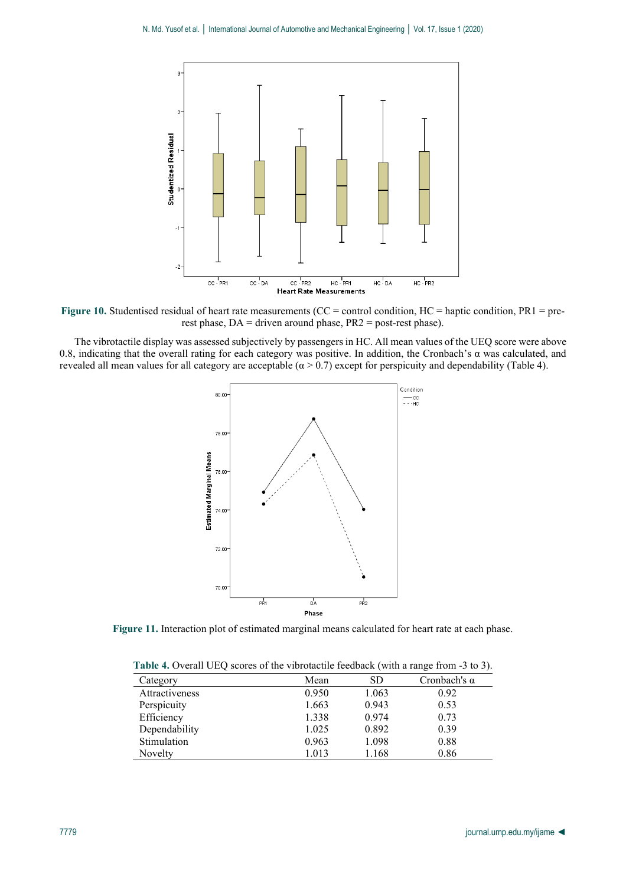

Figure 10. Studentised residual of heart rate measurements (CC = control condition, HC = haptic condition, PR1 = prerest phase, DA = driven around phase, PR2 = post-rest phase).

The vibrotactile display was assessed subjectively by passengers in HC. All mean values of the UEQ score were above 0.8, indicating that the overall rating for each category was positive. In addition, the Cronbach's  $\alpha$  was calculated, and revealed all mean values for all category are acceptable  $(\alpha > 0.7)$  except for perspicuity and dependability (Table 4).



**Figure 11.** Interaction plot of estimated marginal means calculated for heart rate at each phase.

| <b>Table 4.</b> Overall OEQ Scotes of the vibrotachic recuback (with a range from - <i>5</i> to <i>5</i> ). |       |       |                     |  |  |  |
|-------------------------------------------------------------------------------------------------------------|-------|-------|---------------------|--|--|--|
| Category                                                                                                    | Mean  | SD.   | Cronbach's $\alpha$ |  |  |  |
| Attractiveness                                                                                              | 0.950 | 1.063 | 0.92                |  |  |  |
| Perspicuity                                                                                                 | 1.663 | 0.943 | 0.53                |  |  |  |
| Efficiency                                                                                                  | 1.338 | 0.974 | 0.73                |  |  |  |
| Dependability                                                                                               | 1.025 | 0.892 | 0.39                |  |  |  |
| Stimulation                                                                                                 | 0.963 | 1.098 | 0.88                |  |  |  |
| Novelty                                                                                                     | 1.013 | 1.168 | 0.86                |  |  |  |
|                                                                                                             |       |       |                     |  |  |  |

**Table 4.** Overall UEQ scores of the vibrotactile feedback (with a range from -3 to 3).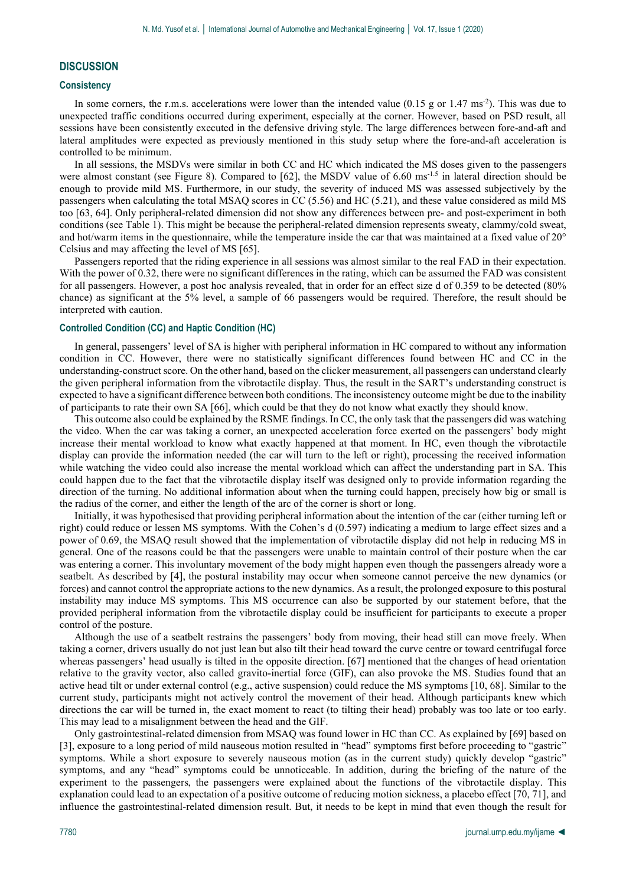# **DISCUSSION**

### **Consistency**

In some corners, the r.m.s. accelerations were lower than the intended value (0.15 g or 1.47 ms<sup>-2</sup>). This was due to unexpected traffic conditions occurred during experiment, especially at the corner. However, based on PSD result, all sessions have been consistently executed in the defensive driving style. The large differences between fore-and-aft and lateral amplitudes were expected as previously mentioned in this study setup where the fore-and-aft acceleration is controlled to be minimum.

In all sessions, the MSDVs were similar in both CC and HC which indicated the MS doses given to the passengers were almost constant (see [Figure 8\)](#page-6-0). Compared to [62], the MSDV value of 6.60 ms<sup>-1.5</sup> in lateral direction should be enough to provide mild MS. Furthermore, in our study, the severity of induced MS was assessed subjectively by the passengers when calculating the total MSAQ scores in CC (5.56) and HC (5.21), and these value considered as mild MS too [63, 64]. Only peripheral-related dimension did not show any differences between pre- and post-experiment in both conditions (see [Table 1\)](#page-6-1). This might be because the peripheral-related dimension represents sweaty, clammy/cold sweat, and hot/warm items in the questionnaire, while the temperature inside the car that was maintained at a fixed value of 20° Celsius and may affecting the level of MS [65].

Passengers reported that the riding experience in all sessions was almost similar to the real FAD in their expectation. With the power of 0.32, there were no significant differences in the rating, which can be assumed the FAD was consistent for all passengers. However, a post hoc analysis revealed, that in order for an effect size d of 0.359 to be detected (80% chance) as significant at the 5% level, a sample of 66 passengers would be required. Therefore, the result should be interpreted with caution.

## **Controlled Condition (CC) and Haptic Condition (HC)**

In general, passengers' level of SA is higher with peripheral information in HC compared to without any information condition in CC. However, there were no statistically significant differences found between HC and CC in the understanding-construct score. On the other hand, based on the clicker measurement, all passengers can understand clearly the given peripheral information from the vibrotactile display. Thus, the result in the SART's understanding construct is expected to have a significant difference between both conditions. The inconsistency outcome might be due to the inability of participants to rate their own SA [66], which could be that they do not know what exactly they should know.

This outcome also could be explained by the RSME findings. In CC, the only task that the passengers did was watching the video. When the car was taking a corner, an unexpected acceleration force exerted on the passengers' body might increase their mental workload to know what exactly happened at that moment. In HC, even though the vibrotactile display can provide the information needed (the car will turn to the left or right), processing the received information while watching the video could also increase the mental workload which can affect the understanding part in SA. This could happen due to the fact that the vibrotactile display itself was designed only to provide information regarding the direction of the turning. No additional information about when the turning could happen, precisely how big or small is the radius of the corner, and either the length of the arc of the corner is short or long.

Initially, it was hypothesised that providing peripheral information about the intention of the car (either turning left or right) could reduce or lessen MS symptoms. With the Cohen's d (0.597) indicating a medium to large effect sizes and a power of 0.69, the MSAQ result showed that the implementation of vibrotactile display did not help in reducing MS in general. One of the reasons could be that the passengers were unable to maintain control of their posture when the car was entering a corner. This involuntary movement of the body might happen even though the passengers already wore a seatbelt. As described by [4], the postural instability may occur when someone cannot perceive the new dynamics (or forces) and cannot control the appropriate actions to the new dynamics. As a result, the prolonged exposure to this postural instability may induce MS symptoms. This MS occurrence can also be supported by our statement before, that the provided peripheral information from the vibrotactile display could be insufficient for participants to execute a proper control of the posture.

Although the use of a seatbelt restrains the passengers' body from moving, their head still can move freely. When taking a corner, drivers usually do not just lean but also tilt their head toward the curve centre or toward centrifugal force whereas passengers' head usually is tilted in the opposite direction. [67] mentioned that the changes of head orientation relative to the gravity vector, also called gravito-inertial force (GIF), can also provoke the MS. Studies found that an active head tilt or under external control (e.g., active suspension) could reduce the MS symptoms [10, 68]. Similar to the current study, participants might not actively control the movement of their head. Although participants knew which directions the car will be turned in, the exact moment to react (to tilting their head) probably was too late or too early. This may lead to a misalignment between the head and the GIF.

Only gastrointestinal-related dimension from MSAQ was found lower in HC than CC. As explained by [69] based on [3], exposure to a long period of mild nauseous motion resulted in "head" symptoms first before proceeding to "gastric" symptoms. While a short exposure to severely nauseous motion (as in the current study) quickly develop "gastric" symptoms, and any "head" symptoms could be unnoticeable. In addition, during the briefing of the nature of the experiment to the passengers, the passengers were explained about the functions of the vibrotactile display. This explanation could lead to an expectation of a positive outcome of reducing motion sickness, a placebo effect [70, 71], and influence the gastrointestinal-related dimension result. But, it needs to be kept in mind that even though the result for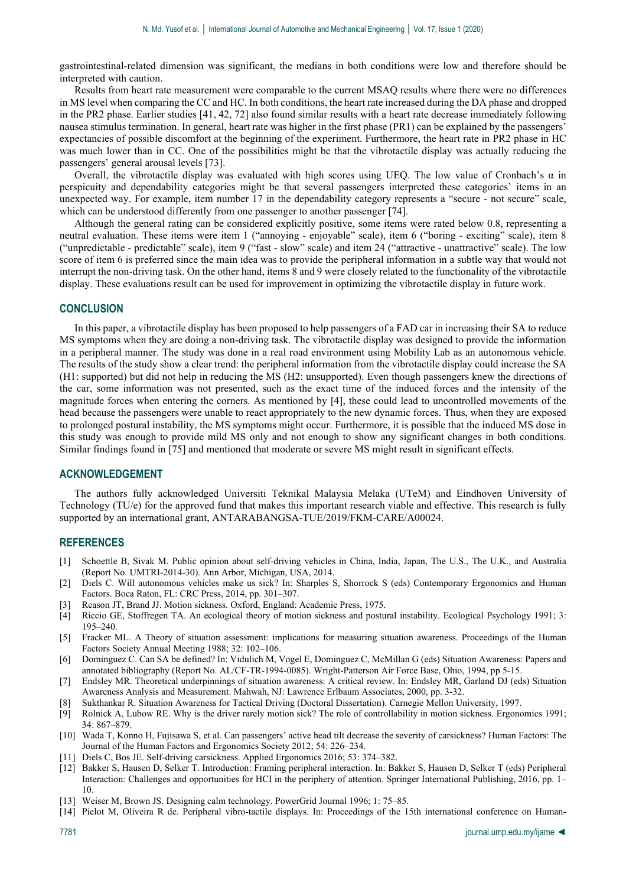gastrointestinal-related dimension was significant, the medians in both conditions were low and therefore should be interpreted with caution.

Results from heart rate measurement were comparable to the current MSAQ results where there were no differences in MS level when comparing the CC and HC. In both conditions, the heart rate increased during the DA phase and dropped in the PR2 phase. Earlier studies [41, 42, 72] also found similar results with a heart rate decrease immediately following nausea stimulus termination. In general, heart rate was higher in the first phase (PR1) can be explained by the passengers' expectancies of possible discomfort at the beginning of the experiment. Furthermore, the heart rate in PR2 phase in HC was much lower than in CC. One of the possibilities might be that the vibrotactile display was actually reducing the passengers' general arousal levels [73].

Overall, the vibrotactile display was evaluated with high scores using UEQ. The low value of Cronbach's α in perspicuity and dependability categories might be that several passengers interpreted these categories' items in an unexpected way. For example, item number 17 in the dependability category represents a "secure - not secure" scale, which can be understood differently from one passenger to another passenger [74].

Although the general rating can be considered explicitly positive, some items were rated below 0.8, representing a neutral evaluation. These items were item 1 ("annoying - enjoyable" scale), item 6 ("boring - exciting" scale), item 8 ("unpredictable - predictable" scale), item 9 ("fast - slow" scale) and item 24 ("attractive - unattractive" scale). The low score of item 6 is preferred since the main idea was to provide the peripheral information in a subtle way that would not interrupt the non-driving task. On the other hand, items 8 and 9 were closely related to the functionality of the vibrotactile display. These evaluations result can be used for improvement in optimizing the vibrotactile display in future work.

#### **CONCLUSION**

In this paper, a vibrotactile display has been proposed to help passengers of a FAD car in increasing their SA to reduce MS symptoms when they are doing a non-driving task. The vibrotactile display was designed to provide the information in a peripheral manner. The study was done in a real road environment using Mobility Lab as an autonomous vehicle. The results of the study show a clear trend: the peripheral information from the vibrotactile display could increase the SA (H1: supported) but did not help in reducing the MS (H2: unsupported). Even though passengers knew the directions of the car, some information was not presented, such as the exact time of the induced forces and the intensity of the magnitude forces when entering the corners. As mentioned by [4], these could lead to uncontrolled movements of the head because the passengers were unable to react appropriately to the new dynamic forces. Thus, when they are exposed to prolonged postural instability, the MS symptoms might occur. Furthermore, it is possible that the induced MS dose in this study was enough to provide mild MS only and not enough to show any significant changes in both conditions. Similar findings found in [75] and mentioned that moderate or severe MS might result in significant effects.

# **ACKNOWLEDGEMENT**

The authors fully acknowledged Universiti Teknikal Malaysia Melaka (UTeM) and Eindhoven University of Technology (TU/e) for the approved fund that makes this important research viable and effective. This research is fully supported by an international grant, ANTARABANGSA-TUE/2019/FKM-CARE/A00024.

# **REFERENCES**

- [1] Schoettle B, Sivak M. Public opinion about self-driving vehicles in China, India, Japan, The U.S., The U.K., and Australia (Report No. UMTRI-2014-30). Ann Arbor, Michigan, USA, 2014.
- [2] Diels C. Will autonomous vehicles make us sick? In: Sharples S, Shorrock S (eds) Contemporary Ergonomics and Human Factors. Boca Raton, FL: CRC Press, 2014, pp. 301–307.
- Reason JT, Brand JJ. Motion sickness. Oxford, England: Academic Press, 1975.
- [4] Riccio GE, Stoffregen TA. An ecological theory of motion sickness and postural instability. Ecological Psychology 1991; 3: 195–240.
- [5] Fracker ML. A Theory of situation assessment: implications for measuring situation awareness. Proceedings of the Human Factors Society Annual Meeting 1988; 32: 102–106.
- [6] Dominguez C. Can SA be defined? In: Vidulich M, Vogel E, Dominguez C, McMillan G (eds) Situation Awareness: Papers and annotated bibliography (Report No. AL/CF-TR-1994-0085). Wright-Patterson Air Force Base, Ohio, 1994, pp 5-15.
- [7] Endsley MR. Theoretical underpinnings of situation awareness: A critical review. In: Endsley MR, Garland DJ (eds) Situation Awareness Analysis and Measurement. Mahwah, NJ: Lawrence Erlbaum Associates, 2000, pp. 3-32.
- [8] Sukthankar R. Situation Awareness for Tactical Driving (Doctoral Dissertation). Carnegie Mellon University, 1997.
- [9] Rolnick A, Lubow RE. Why is the driver rarely motion sick? The role of controllability in motion sickness. Ergonomics 1991; 34: 867–879.
- [10] Wada T, Konno H, Fujisawa S, et al. Can passengers' active head tilt decrease the severity of carsickness? Human Factors: The Journal of the Human Factors and Ergonomics Society 2012; 54: 226–234.
- [11] Diels C, Bos JE. Self-driving carsickness. Applied Ergonomics 2016; 53: 374–382.
- [12] Bakker S, Hausen D, Selker T. Introduction: Framing peripheral interaction. In: Bakker S, Hausen D, Selker T (eds) Peripheral Interaction: Challenges and opportunities for HCI in the periphery of attention. Springer International Publishing, 2016, pp. 1– 10.
- [13] Weiser M, Brown JS. Designing calm technology. PowerGrid Journal 1996; 1: 75–85.
- [14] Pielot M, Oliveira R de. Peripheral vibro-tactile displays. In: Proceedings of the 15th international conference on Human-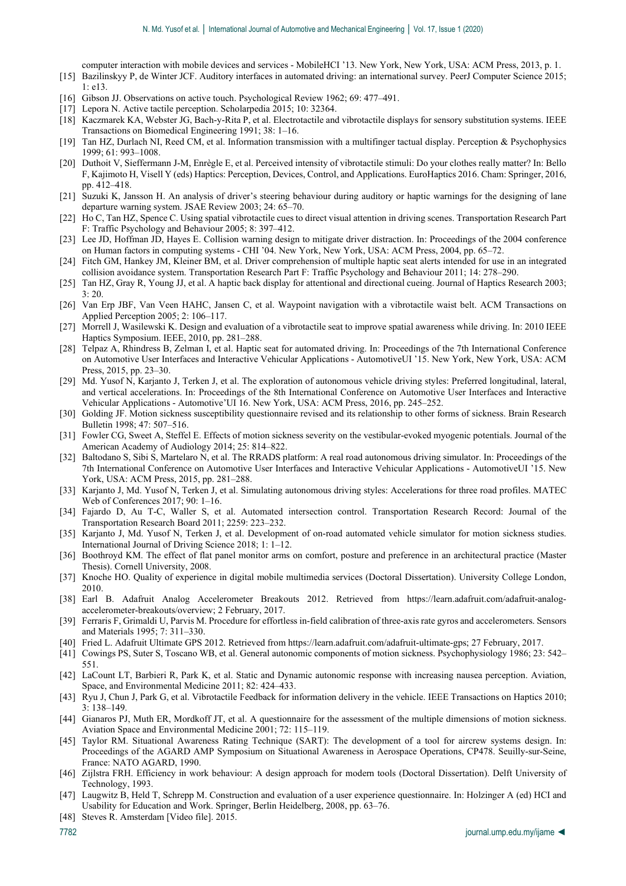computer interaction with mobile devices and services - MobileHCI '13. New York, New York, USA: ACM Press, 2013, p. 1.

- [15] Bazilinskyy P, de Winter JCF. Auditory interfaces in automated driving: an international survey. PeerJ Computer Science 2015; 1: e13.
- [16] Gibson JJ. Observations on active touch. Psychological Review 1962; 69: 477–491.
- [17] Lepora N. Active tactile perception. Scholarpedia 2015; 10: 32364.
- [18] Kaczmarek KA, Webster JG, Bach-y-Rita P, et al. Electrotactile and vibrotactile displays for sensory substitution systems. IEEE Transactions on Biomedical Engineering 1991; 38: 1–16.
- [19] Tan HZ, Durlach NI, Reed CM, et al. Information transmission with a multifinger tactual display. Perception & Psychophysics 1999; 61: 993–1008.
- [20] Duthoit V, Sieffermann J-M, Enrègle E, et al. Perceived intensity of vibrotactile stimuli: Do your clothes really matter? In: Bello F, Kajimoto H, Visell Y (eds) Haptics: Perception, Devices, Control, and Applications. EuroHaptics 2016. Cham: Springer, 2016, pp. 412–418.
- [21] Suzuki K, Jansson H. An analysis of driver's steering behaviour during auditory or haptic warnings for the designing of lane departure warning system. JSAE Review 2003; 24: 65–70.
- [22] Ho C, Tan HZ, Spence C. Using spatial vibrotactile cues to direct visual attention in driving scenes. Transportation Research Part F: Traffic Psychology and Behaviour 2005; 8: 397–412.
- [23] Lee JD, Hoffman JD, Hayes E. Collision warning design to mitigate driver distraction. In: Proceedings of the 2004 conference on Human factors in computing systems - CHI '04. New York, New York, USA: ACM Press, 2004, pp. 65–72.
- [24] Fitch GM, Hankey JM, Kleiner BM, et al. Driver comprehension of multiple haptic seat alerts intended for use in an integrated collision avoidance system. Transportation Research Part F: Traffic Psychology and Behaviour 2011; 14: 278–290.
- [25] Tan HZ, Gray R, Young JJ, et al. A haptic back display for attentional and directional cueing. Journal of Haptics Research 2003; 3: 20.
- [26] Van Erp JBF, Van Veen HAHC, Jansen C, et al. Waypoint navigation with a vibrotactile waist belt. ACM Transactions on Applied Perception 2005; 2: 106–117.
- [27] Morrell J, Wasilewski K. Design and evaluation of a vibrotactile seat to improve spatial awareness while driving. In: 2010 IEEE Haptics Symposium. IEEE, 2010, pp. 281–288.
- [28] Telpaz A, Rhindress B, Zelman I, et al. Haptic seat for automated driving. In: Proceedings of the 7th International Conference on Automotive User Interfaces and Interactive Vehicular Applications - AutomotiveUI '15. New York, New York, USA: ACM Press, 2015, pp. 23–30.
- [29] Md. Yusof N, Karjanto J, Terken J, et al. The exploration of autonomous vehicle driving styles: Preferred longitudinal, lateral, and vertical accelerations. In: Proceedings of the 8th International Conference on Automotive User Interfaces and Interactive Vehicular Applications - Automotive'UI 16. New York, USA: ACM Press, 2016, pp. 245–252.
- [30] Golding JF. Motion sickness susceptibility questionnaire revised and its relationship to other forms of sickness. Brain Research Bulletin 1998; 47: 507–516.
- [31] Fowler CG, Sweet A, Steffel E. Effects of motion sickness severity on the vestibular-evoked myogenic potentials. Journal of the American Academy of Audiology 2014; 25: 814–822.
- [32] Baltodano S, Sibi S, Martelaro N, et al. The RRADS platform: A real road autonomous driving simulator. In: Proceedings of the 7th International Conference on Automotive User Interfaces and Interactive Vehicular Applications - AutomotiveUI '15. New York, USA: ACM Press, 2015, pp. 281–288.
- [33] Karjanto J, Md. Yusof N, Terken J, et al. Simulating autonomous driving styles: Accelerations for three road profiles. MATEC Web of Conferences 2017; 90: 1–16.
- [34] Fajardo D, Au T-C, Waller S, et al. Automated intersection control. Transportation Research Record: Journal of the Transportation Research Board 2011; 2259: 223–232.
- [35] Karjanto J, Md. Yusof N, Terken J, et al. Development of on-road automated vehicle simulator for motion sickness studies. International Journal of Driving Science 2018; 1: 1–12.
- [36] Boothroyd KM. The effect of flat panel monitor arms on comfort, posture and preference in an architectural practice (Master Thesis). Cornell University, 2008.
- [37] Knoche HO. Quality of experience in digital mobile multimedia services (Doctoral Dissertation). University College London, 2010.
- [38] Earl B. Adafruit Analog Accelerometer Breakouts 2012. Retrieved from https://learn.adafruit.com/adafruit-analogaccelerometer-breakouts/overview; 2 February, 2017.
- [39] Ferraris F, Grimaldi U, Parvis M. Procedure for effortless in-field calibration of three-axis rate gyros and accelerometers. Sensors and Materials 1995; 7: 311–330.
- [40] Fried L. Adafruit Ultimate GPS 2012. Retrieved from https://learn.adafruit.com/adafruit-ultimate-gps; 27 February, 2017.
- [41] Cowings PS, Suter S, Toscano WB, et al. General autonomic components of motion sickness. Psychophysiology 1986; 23: 542– 551.
- [42] LaCount LT, Barbieri R, Park K, et al. Static and Dynamic autonomic response with increasing nausea perception. Aviation, Space, and Environmental Medicine 2011; 82: 424–433.
- [43] Ryu J, Chun J, Park G, et al. Vibrotactile Feedback for information delivery in the vehicle. IEEE Transactions on Haptics 2010; 3: 138–149.
- [44] Gianaros PJ, Muth ER, Mordkoff JT, et al. A questionnaire for the assessment of the multiple dimensions of motion sickness. Aviation Space and Environmental Medicine 2001; 72: 115–119.
- [45] Taylor RM. Situational Awareness Rating Technique (SART): The development of a tool for aircrew systems design. In: Proceedings of the AGARD AMP Symposium on Situational Awareness in Aerospace Operations, CP478. Seuilly-sur-Seine, France: NATO AGARD, 1990.
- [46] Zijlstra FRH. Efficiency in work behaviour: A design approach for modern tools (Doctoral Dissertation). Delft University of Technology, 1993.
- [47] Laugwitz B, Held T, Schrepp M. Construction and evaluation of a user experience questionnaire. In: Holzinger A (ed) HCI and Usability for Education and Work. Springer, Berlin Heidelberg, 2008, pp. 63–76.
- [48] Steves R. Amsterdam [Video file]. 2015.